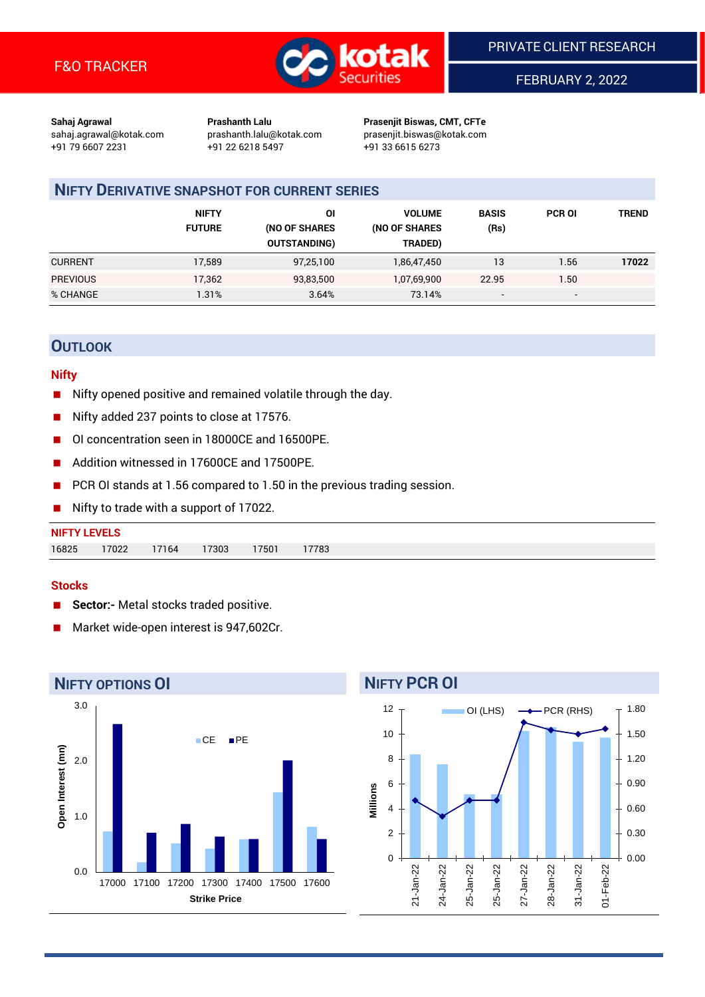

FEBRUARY 2, 2022

**Sahaj Agrawal Prashanth Lalu Prasenjit Biswas, CMT, CFTe** +91 79 6607 2231 +91 22 6218 5497 +91 33 6615 6273

sahaj.agrawal@kotak.com [prashanth.lalu@kotak.com](mailto:prashanth.lalu@kotak.com) prasenjit.biswas@kotak.com

# **NIFTY DERIVATIVE SNAPSHOT FOR CURRENT SERIES**

|                 | <b>NIFTY</b><br><b>FUTURE</b> | ΟI<br>(NO OF SHARES<br><b>OUTSTANDING)</b> | <b>VOLUME</b><br>(NO OF SHARES<br>TRADED) | <b>BASIS</b><br>(Rs)     | <b>PCR OI</b>            | TREND |
|-----------------|-------------------------------|--------------------------------------------|-------------------------------------------|--------------------------|--------------------------|-------|
| <b>CURRENT</b>  | 17,589                        | 97,25,100                                  | 1,86,47,450                               | 13                       | 1.56                     | 17022 |
| <b>PREVIOUS</b> | 17,362                        | 93,83,500                                  | 1,07,69,900                               | 22.95                    | 1.50                     |       |
| % CHANGE        | 1.31%                         | 3.64%                                      | 73.14%                                    | $\overline{\phantom{0}}$ | $\overline{\phantom{0}}$ |       |

# **OUTLOOK**

## **Nifty**

- Nifty opened positive and remained volatile through the day.
- Nifty added 237 points to close at 17576.
- OI concentration seen in 18000CE and 16500PE.
- Addition witnessed in 17600CE and 17500PE.
- PCR OI stands at 1.56 compared to 1.50 in the previous trading session.
- Nifty to trade with a support of 17022.

| <b>NIFTY LEVELS</b> |       |       |       |      |       |
|---------------------|-------|-------|-------|------|-------|
| 16825               | 17022 | 17164 | 17303 | 7501 | 17783 |

## **Stocks**

- **Sector:-** Metal stocks traded positive.
- Market wide-open interest is 947,602Cr.



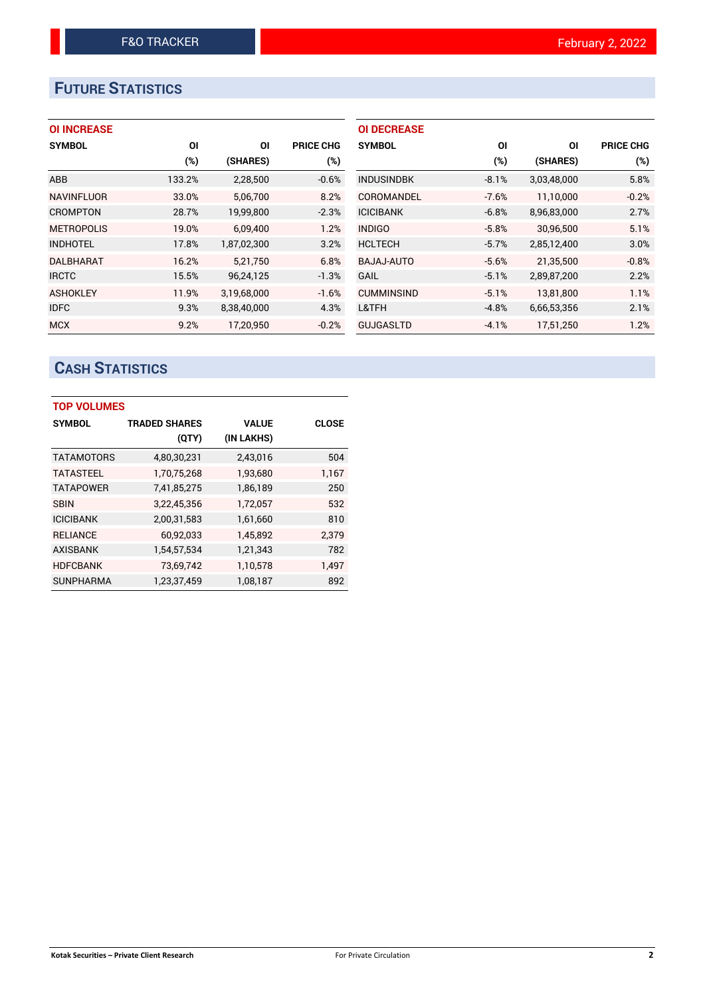# **FUTURE STATISTICS**

# **OI INCREASE**

| <b>SYMBOL</b>     | ΟI     | ΟI          | <b>PRICE CHG</b> |
|-------------------|--------|-------------|------------------|
|                   | $(\%)$ | (SHARES)    | $(\%)$           |
| <b>ABB</b>        | 133.2% | 2,28,500    | $-0.6%$          |
| <b>NAVINFLUOR</b> | 33.0%  | 5,06,700    | 8.2%             |
| <b>CROMPTON</b>   | 28.7%  | 19,99,800   | $-2.3%$          |
| <b>METROPOLIS</b> | 19.0%  | 6,09,400    | 1.2%             |
| <b>INDHOTEL</b>   | 17.8%  | 1,87,02,300 | 3.2%             |
| DALBHARAT         | 16.2%  | 5,21,750    | 6.8%             |
| <b>IRCTC</b>      | 15.5%  | 96,24,125   | $-1.3%$          |
| <b>ASHOKLEY</b>   | 11.9%  | 3,19,68,000 | $-1.6%$          |
| <b>IDFC</b>       | 9.3%   | 8,38,40,000 | 4.3%             |
| <b>MCX</b>        | 9.2%   | 17,20,950   | $-0.2%$          |

| <b>OI DECREASE</b> |         |             |                  |
|--------------------|---------|-------------|------------------|
| <b>SYMBOL</b>      | ΟI      | ΟI          | <b>PRICE CHG</b> |
|                    | $(\%)$  | (SHARES)    | $(\%)$           |
| <b>INDUSINDBK</b>  | $-8.1%$ | 3,03,48,000 | 5.8%             |
| COROMANDEL         | $-7.6%$ | 11,10,000   | $-0.2%$          |
| <b>ICICIBANK</b>   | $-6.8%$ | 8,96,83,000 | 2.7%             |
| <b>INDIGO</b>      | $-5.8%$ | 30,96,500   | 5.1%             |
| <b>HCLTECH</b>     | $-5.7%$ | 2,85,12,400 | 3.0%             |
| BAJAJ-AUTO         | $-5.6%$ | 21,35,500   | $-0.8%$          |
| GAIL               | $-5.1%$ | 2,89,87,200 | 2.2%             |
| <b>CUMMINSIND</b>  | $-5.1%$ | 13,81,800   | 1.1%             |
| L&TFH              | $-4.8%$ | 6,66,53,356 | 2.1%             |
| <b>GUJGASLTD</b>   | $-4.1%$ | 17,51,250   | 1.2%             |

# **CASH STATISTICS**

| <b>TOP VOLUMES</b> |                      |              |              |  |  |  |  |  |
|--------------------|----------------------|--------------|--------------|--|--|--|--|--|
| <b>SYMBOL</b>      | <b>TRADED SHARES</b> | <b>VALUE</b> | <b>CLOSE</b> |  |  |  |  |  |
|                    | (QTY)                | (IN LAKHS)   |              |  |  |  |  |  |
| <b>TATAMOTORS</b>  | 4,80,30,231          | 2,43,016     | 504          |  |  |  |  |  |
| <b>TATASTEEL</b>   | 1,70,75,268          | 1,93,680     | 1,167        |  |  |  |  |  |
| <b>TATAPOWER</b>   | 7,41,85,275          | 1,86,189     | 250          |  |  |  |  |  |
| <b>SBIN</b>        | 3,22,45,356          | 1,72,057     | 532          |  |  |  |  |  |
| <b>ICICIBANK</b>   | 2,00,31,583          | 1,61,660     | 810          |  |  |  |  |  |
| <b>RELIANCE</b>    | 60,92,033            | 1,45,892     | 2,379        |  |  |  |  |  |
| <b>AXISBANK</b>    | 1,54,57,534          | 1,21,343     | 782          |  |  |  |  |  |
| <b>HDFCBANK</b>    | 73,69,742            | 1,10,578     | 1,497        |  |  |  |  |  |
| <b>SUNPHARMA</b>   | 1,23,37,459          | 1,08,187     | 892          |  |  |  |  |  |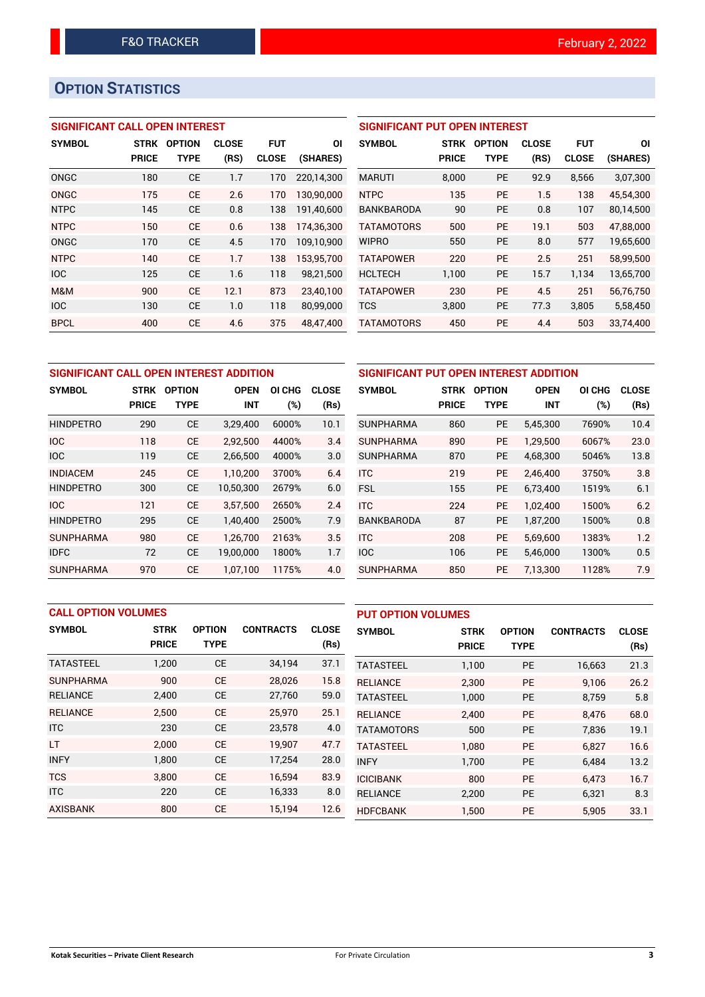# **OPTION STATISTICS**

# **SIGNIFICANT CALL OPEN INTEREST**

| <b>SYMBOL</b> | <b>STRK</b><br><b>PRICE</b> | <b>OPTION</b><br>TYPE | <b>CLOSE</b><br>(RS) | <b>FUT</b><br><b>CLOSE</b> | ΟI<br>(SHARES) |
|---------------|-----------------------------|-----------------------|----------------------|----------------------------|----------------|
| ONGC          | 180                         | <b>CE</b>             | 1.7                  | 170                        | 220,14,300     |
| ONGC          | 175                         | CF                    | 2.6                  | 170                        | 130,90,000     |
| <b>NTPC</b>   | 145                         | <b>CE</b>             | 0.8                  | 138                        | 191,40,600     |
| <b>NTPC</b>   | 150                         | <b>CE</b>             | 0.6                  | 138                        | 174,36,300     |
| ONGC          | 170                         | <b>CE</b>             | 4.5                  | 170                        | 109,10,900     |
| <b>NTPC</b>   | 140                         | <b>CE</b>             | 1.7                  | 138                        | 153,95,700     |
| <b>IOC</b>    | 125                         | <b>CE</b>             | 1.6                  | 118                        | 98,21,500      |
| M&M           | 900                         | <b>CE</b>             | 12.1                 | 873                        | 23,40,100      |
| <b>IOC</b>    | 130                         | <b>CE</b>             | 1.0                  | 118                        | 80,99,000      |
| <b>BPCL</b>   | 400                         | <b>CE</b>             | 4.6                  | 375                        | 48,47,400      |

| <b>SIGNIFICANT PUT OPEN INTEREST</b> |              |               |              |              |           |  |  |  |
|--------------------------------------|--------------|---------------|--------------|--------------|-----------|--|--|--|
| <b>SYMBOL</b>                        | STRK         | <b>OPTION</b> | <b>CLOSE</b> | <b>FUT</b>   | ΟI        |  |  |  |
|                                      | <b>PRICE</b> | TYPE          | (RS)         | <b>CLOSE</b> | (SHARES)  |  |  |  |
| <b>MARUTI</b>                        | 8,000        | <b>PE</b>     | 92.9         | 8,566        | 3,07,300  |  |  |  |
| <b>NTPC</b>                          | 135          | PF            | 1.5          | 138          | 45,54,300 |  |  |  |
| <b>BANKBARODA</b>                    | 90           | <b>PE</b>     | 0.8          | 107          | 80,14,500 |  |  |  |
| <b>TATAMOTORS</b>                    | 500          | PF            | 19.1         | 503          | 47,88,000 |  |  |  |
| <b>WIPRO</b>                         | 550          | <b>PE</b>     | 8.0          | 577          | 19,65,600 |  |  |  |
| <b>TATAPOWER</b>                     | 220          | PE            | 2.5          | 251          | 58,99,500 |  |  |  |
| <b>HCLTECH</b>                       | 1,100        | <b>PE</b>     | 15.7         | 1.134        | 13,65,700 |  |  |  |
| <b>TATAPOWER</b>                     | 230          | <b>PE</b>     | 4.5          | 251          | 56,76,750 |  |  |  |
| <b>TCS</b>                           | 3,800        | <b>PE</b>     | 77.3         | 3,805        | 5,58,450  |  |  |  |
| <b>TATAMOTORS</b>                    | 450          | PE            | 4.4          | 503          | 33.74.400 |  |  |  |

| SIGNIFICANT CALL OPEN INTEREST ADDITION |              |               |             |        |              |  |  |  |  |
|-----------------------------------------|--------------|---------------|-------------|--------|--------------|--|--|--|--|
| <b>SYMBOL</b>                           | <b>STRK</b>  | <b>OPTION</b> | <b>OPEN</b> | OI CHG | <b>CLOSE</b> |  |  |  |  |
|                                         | <b>PRICE</b> | TYPE          | <b>INT</b>  | $(\%)$ | (Rs)         |  |  |  |  |
| <b>HINDPETRO</b>                        | 290          | CЕ            | 3,29,400    | 6000%  | 10.1         |  |  |  |  |
| IOC                                     | 118          | СE            | 2,92,500    | 4400%  | 3.4          |  |  |  |  |
| <b>IOC</b>                              | 119          | <b>CE</b>     | 2,66,500    | 4000%  | 3.0          |  |  |  |  |
| <b>INDIACEM</b>                         | 245          | <b>CE</b>     | 1.10.200    | 3700%  | 6.4          |  |  |  |  |
| <b>HINDPETRO</b>                        | 300          | CЕ            | 10,50,300   | 2679%  | 6.0          |  |  |  |  |
| IOC                                     | 121          | <b>CE</b>     | 3,57,500    | 2650%  | 2.4          |  |  |  |  |
| <b>HINDPETRO</b>                        | 295          | <b>CE</b>     | 1,40,400    | 2500%  | 7.9          |  |  |  |  |
| <b>SUNPHARMA</b>                        | 980          | <b>CE</b>     | 1,26,700    | 2163%  | 3.5          |  |  |  |  |
| <b>IDFC</b>                             | 72           | <b>CE</b>     | 19,00,000   | 1800%  | 1.7          |  |  |  |  |
| SUNPHARMA                               | 970          | СE            | 1,07,100    | 1175%  | 4.0          |  |  |  |  |

| SIGNIFICANT PUT OPEN INTEREST ADDITION |              |               |             |       |       |  |  |  |  |
|----------------------------------------|--------------|---------------|-------------|-------|-------|--|--|--|--|
| <b>SYMBOL</b>                          | <b>STRK</b>  | <b>OPTION</b> | <b>OPEN</b> |       | CLOSE |  |  |  |  |
|                                        | <b>PRICE</b> | <b>TYPE</b>   | INT         | (%)   | (Rs)  |  |  |  |  |
| <b>SUNPHARMA</b>                       | 860          | <b>PE</b>     | 5,45,300    | 7690% | 10.4  |  |  |  |  |
| SUNPHARMA                              | 890          | <b>PE</b>     | 1,29,500    | 6067% | 23.0  |  |  |  |  |
| <b>SUNPHARMA</b>                       | 870          | <b>PE</b>     | 4,68,300    | 5046% | 13.8  |  |  |  |  |
| ITC.                                   | 219          | <b>PE</b>     | 2.46.400    | 3750% | 3.8   |  |  |  |  |
| <b>FSL</b>                             | 155          | <b>PE</b>     | 6,73,400    | 1519% | 6.1   |  |  |  |  |
| <b>ITC</b>                             | 224          | <b>PE</b>     | 1,02,400    | 1500% | 6.2   |  |  |  |  |
| <b>BANKBARODA</b>                      | 87           | <b>PE</b>     | 1,87,200    | 1500% | 0.8   |  |  |  |  |
| <b>ITC</b>                             | 208          | <b>PE</b>     | 5,69,600    | 1383% | 1.2   |  |  |  |  |
| <b>IOC</b>                             | 106          | <b>PE</b>     | 5,46,000    | 1300% | 0.5   |  |  |  |  |
| <b>SUNPHARMA</b>                       | 850          | <b>PE</b>     | 7,13,300    | 1128% | 7.9   |  |  |  |  |

|                  | <b>CALL OPTION VOLUMES</b> |               |                  |              |                   | <b>PUT OPTION VOLUMES</b> |               |                  |              |  |
|------------------|----------------------------|---------------|------------------|--------------|-------------------|---------------------------|---------------|------------------|--------------|--|
| <b>SYMBOL</b>    | <b>STRK</b>                | <b>OPTION</b> | <b>CONTRACTS</b> | <b>CLOSE</b> | <b>SYMBOL</b>     | <b>STRK</b>               | <b>OPTION</b> | <b>CONTRACTS</b> | <b>CLOSE</b> |  |
|                  | <b>PRICE</b>               | <b>TYPE</b>   |                  | (Rs)         |                   | <b>PRICE</b>              | <b>TYPE</b>   |                  | (Rs)         |  |
| <b>TATASTEEL</b> | 1,200                      | <b>CE</b>     | 34,194           | 37.1         | <b>TATASTEEL</b>  | 1,100                     | <b>PE</b>     | 16,663           | 21.3         |  |
| <b>SUNPHARMA</b> | 900                        | <b>CE</b>     | 28,026           | 15.8         | <b>RELIANCE</b>   | 2,300                     | <b>PE</b>     | 9,106            | 26.2         |  |
| <b>RELIANCE</b>  | 2,400                      | <b>CE</b>     | 27,760           | 59.0         | <b>TATASTEEL</b>  | 1,000                     | PE            | 8,759            | 5.8          |  |
| <b>RELIANCE</b>  | 2.500                      | <b>CE</b>     | 25.970           | 25.1         | <b>RELIANCE</b>   | 2.400                     | <b>PE</b>     | 8.476            | 68.0         |  |
| <b>ITC</b>       | 230                        | <b>CE</b>     | 23,578           | 4.0          | <b>TATAMOTORS</b> | 500                       | <b>PE</b>     | 7.836            | 19.1         |  |
| <b>LT</b>        | 2.000                      | <b>CE</b>     | 19,907           | 47.7         | <b>TATASTEEL</b>  | 1.080                     | <b>PE</b>     | 6.827            | 16.6         |  |
| <b>INFY</b>      | 1,800                      | <b>CE</b>     | 17,254           | 28.0         | <b>INFY</b>       | 1,700                     | <b>PE</b>     | 6,484            | 13.2         |  |
| <b>TCS</b>       | 3.800                      | <b>CE</b>     | 16.594           | 83.9         | <b>ICICIBANK</b>  | 800                       | <b>PE</b>     | 6.473            | 16.7         |  |
| <b>ITC</b>       | 220                        | <b>CE</b>     | 16,333           | 8.0          | <b>RELIANCE</b>   | 2,200                     | <b>PE</b>     | 6,321            | 8.3          |  |
| <b>AXISBANK</b>  | 800                        | <b>CE</b>     | 15,194           | 12.6         | <b>HDFCBANK</b>   | 1,500                     | PE            | 5,905            | 33.1         |  |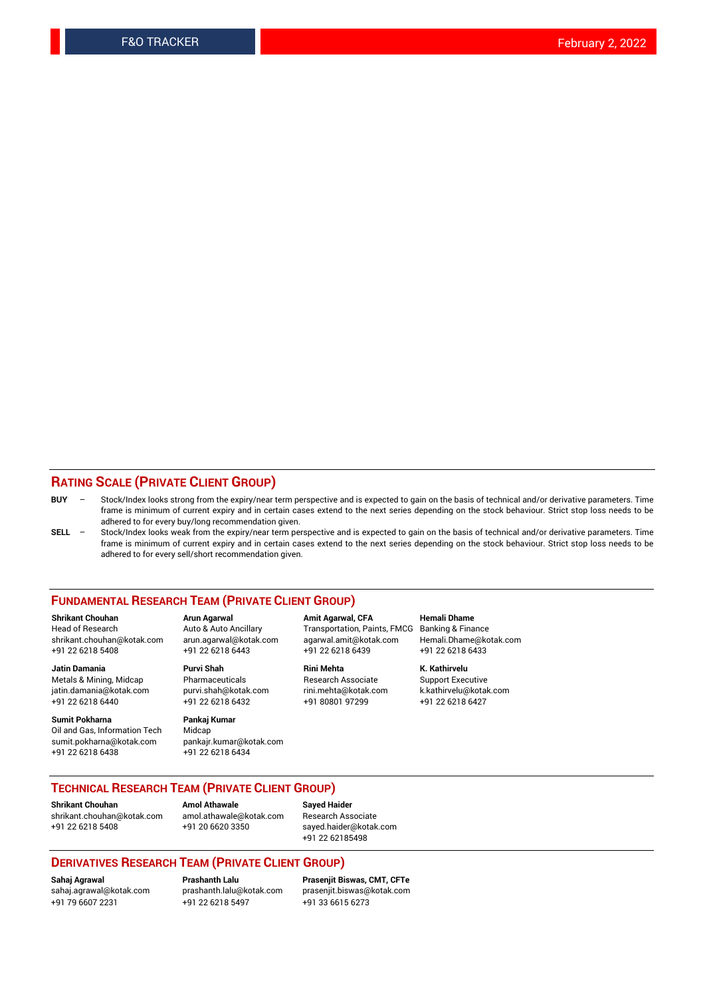## **RATING SCALE (PRIVATE CLIENT GROUP)**

- **BUY**  Stock/Index looks strong from the expiry/near term perspective and is expected to gain on the basis of technical and/or derivative parameters. Time frame is minimum of current expiry and in certain cases extend to the next series depending on the stock behaviour. Strict stop loss needs to be adhered to for every buy/long recommendation given.
- **SELL** Stock/Index looks weak from the expiry/near term perspective and is expected to gain on the basis of technical and/or derivative parameters. Time frame is minimum of current expiry and in certain cases extend to the next series depending on the stock behaviour. Strict stop loss needs to be adhered to for every sell/short recommendation given.

#### **FUNDAMENTAL RESEARCH TEAM (PRIVATE CLIENT GROUP)**

**Shrikant Chouhan Arun Agarwal Amit Agarwal, CFA Hemali Dhame** shrikant.chouhan@kotak.com arun.agarwal@kotak.com agarwal.amit@kotak.com Hemali.Dhame@kotak.com +91 22 6218 5408 +91 22 6218 6443 +91 22 6218 6439 +91 22 6218 6433

Metals & Mining, Midcap Pharmaceuticals Pharmaceuticals Research Associate Support Executive<br>
iatin.damania@kotak.com purvi.shah@kotak.com rini.mehta@kotak.com k.kathirvelu@kotak.com jatin.damania@kotak.com

**Sumit Pokharna** Pankaj Kumar<br>Oil and Gas, Information Tech Midcap Oil and Gas, Information Tech sumit.pokharna@kotak.com pankajr.kumar@kotak.com +91 22 6218 6438 +91 22 6218 6434

**Jatin Damania Purvi Shah Rini Mehta K. Kathirvelu**

Transportation, Paints, FMCG Banking & Finance

+91 22 6218 6440 +91 22 6218 6432 +91 80801 97299 +91 22 6218 6427

### **TECHNICAL RESEARCH TEAM (PRIVATE CLIENT GROUP) Shrikant Chouhan Amol Athawale Sayed Haider**

[shrikant.chouhan@kotak.com](mailto:shrikant.chouhan@kotak.com) [amol.athawale@kotak.com](mailto:amol.athawale@kotak.com) Research Associate +91 22 6218 5408 +91 20 6620 3350 [sayed.haider@kotak.com](mailto:sayed.haider@kotak.com)

+91 22 62185498

#### **DERIVATIVES RESEARCH TEAM (PRIVATE CLIENT GROUP)**

+91 79 6607 2231 +91 22 6218 5497 +91 33 6615 6273

**Sahaj Agrawal Prashanth Lalu Prasenjit Biswas, CMT, CFTe** [prasenjit.biswas@kotak.com](mailto:prasenjit.biswas@kotak.com)